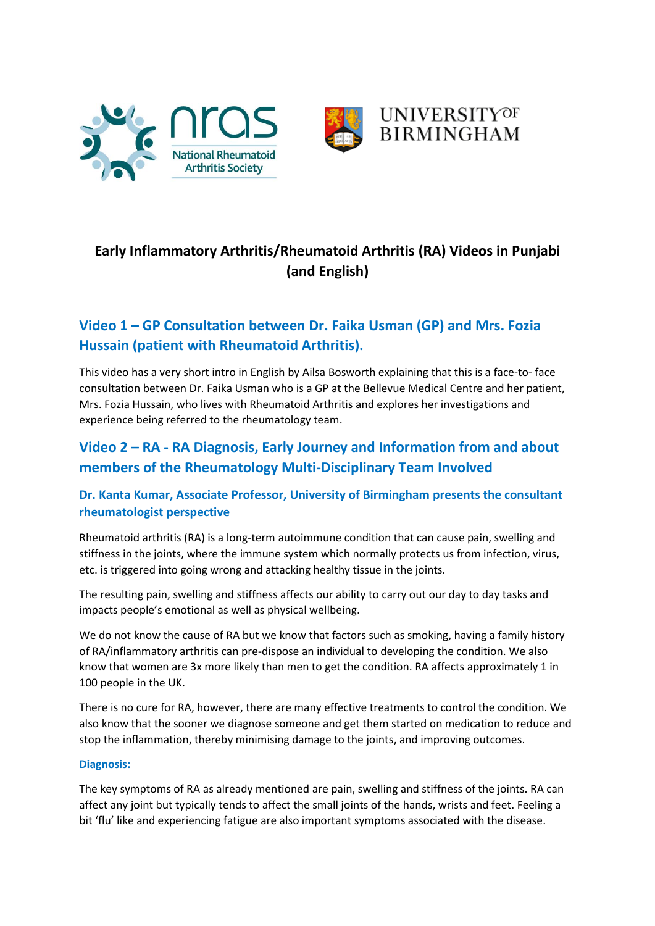





# **Early Inflammatory Arthritis/Rheumatoid Arthritis (RA) Videos in Punjabi (and English)**

# **Video 1 – GP Consultation between Dr. Faika Usman (GP) and Mrs. Fozia Hussain (patient with Rheumatoid Arthritis).**

This video has a very short intro in English by Ailsa Bosworth explaining that this is a face-to- face consultation between Dr. Faika Usman who is a GP at the Bellevue Medical Centre and her patient, Mrs. Fozia Hussain, who lives with Rheumatoid Arthritis and explores her investigations and experience being referred to the rheumatology team.

# **Video 2 – RA - RA Diagnosis, Early Journey and Information from and about members of the Rheumatology Multi-Disciplinary Team Involved**

## **Dr. Kanta Kumar, Associate Professor, University of Birmingham presents the consultant rheumatologist perspective**

Rheumatoid arthritis (RA) is a long-term autoimmune condition that can cause pain, swelling and stiffness in the joints, where the immune system which normally protects us from infection, virus, etc. is triggered into going wrong and attacking healthy tissue in the joints.

The resulting pain, swelling and stiffness affects our ability to carry out our day to day tasks and impacts people's emotional as well as physical wellbeing.

We do not know the cause of RA but we know that factors such as smoking, having a family history of RA/inflammatory arthritis can pre-dispose an individual to developing the condition. We also know that women are 3x more likely than men to get the condition. RA affects approximately 1 in 100 people in the UK.

There is no cure for RA, however, there are many effective treatments to control the condition. We also know that the sooner we diagnose someone and get them started on medication to reduce and stop the inflammation, thereby minimising damage to the joints, and improving outcomes.

## **Diagnosis:**

The key symptoms of RA as already mentioned are pain, swelling and stiffness of the joints. RA can affect any joint but typically tends to affect the small joints of the hands, wrists and feet. Feeling a bit 'flu' like and experiencing fatigue are also important symptoms associated with the disease.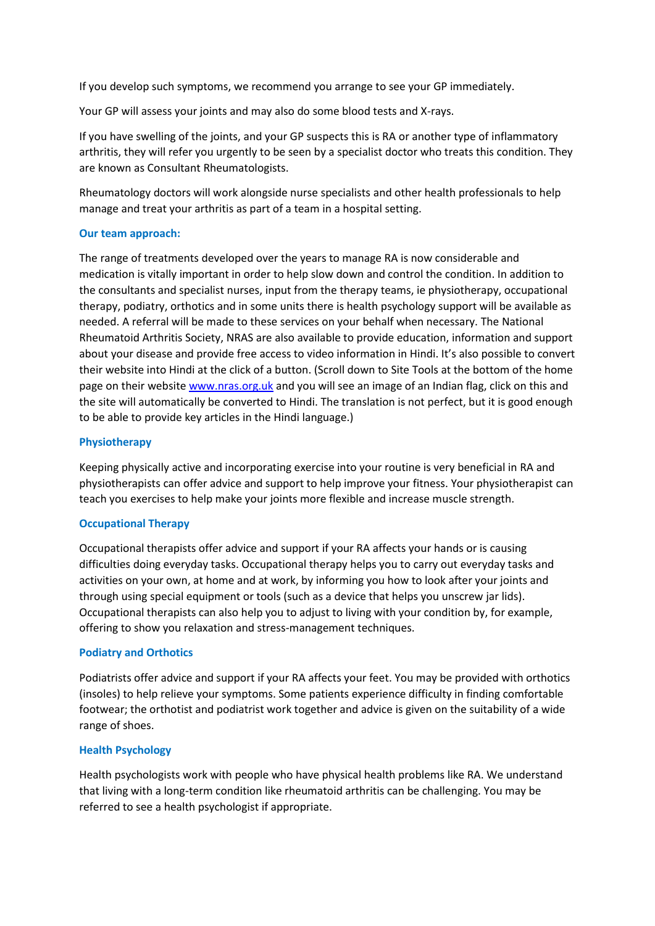If you develop such symptoms, we recommend you arrange to see your GP immediately.

Your GP will assess your joints and may also do some blood tests and X-rays.

If you have swelling of the joints, and your GP suspects this is RA or another type of inflammatory arthritis, they will refer you urgently to be seen by a specialist doctor who treats this condition. They are known as Consultant Rheumatologists.

Rheumatology doctors will work alongside nurse specialists and other health professionals to help manage and treat your arthritis as part of a team in a hospital setting.

#### **Our team approach:**

The range of treatments developed over the years to manage RA is now considerable and medication is vitally important in order to help slow down and control the condition. In addition to the consultants and specialist nurses, input from the therapy teams, ie physiotherapy, occupational therapy, podiatry, orthotics and in some units there is health psychology support will be available as needed. A referral will be made to these services on your behalf when necessary. The National Rheumatoid Arthritis Society, NRAS are also available to provide education, information and support about your disease and provide free access to video information in Hindi. It's also possible to convert their website into Hindi at the click of a button. (Scroll down to Site Tools at the bottom of the home page on their websit[e www.nras.org.uk](http://www.nras.org.uk/) and you will see an image of an Indian flag, click on this and the site will automatically be converted to Hindi. The translation is not perfect, but it is good enough to be able to provide key articles in the Hindi language.)

#### **Physiotherapy**

Keeping physically active and incorporating exercise into your routine is very beneficial in RA and physiotherapists can offer advice and support to help improve your fitness. Your physiotherapist can teach you exercises to help make your joints more flexible and increase muscle strength.

### **Occupational Therapy**

Occupational therapists offer advice and support if your RA affects your hands or is causing difficulties doing everyday tasks. Occupational therapy helps you to carry out everyday tasks and activities on your own, at home and at work, by informing you how to look after your joints and through using special equipment or tools (such as a device that helps you unscrew jar lids). Occupational therapists can also help you to adjust to living with your condition by, for example, offering to show you relaxation and stress-management techniques.

#### **Podiatry and Orthotics**

Podiatrists offer advice and support if your RA affects your feet. You may be provided with orthotics (insoles) to help relieve your symptoms. Some patients experience difficulty in finding comfortable footwear; the orthotist and podiatrist work together and advice is given on the suitability of a wide range of shoes.

#### **Health Psychology**

Health psychologists work with people who have physical health problems like RA. We understand that living with a long-term condition like rheumatoid arthritis can be challenging. You may be referred to see a health psychologist if appropriate.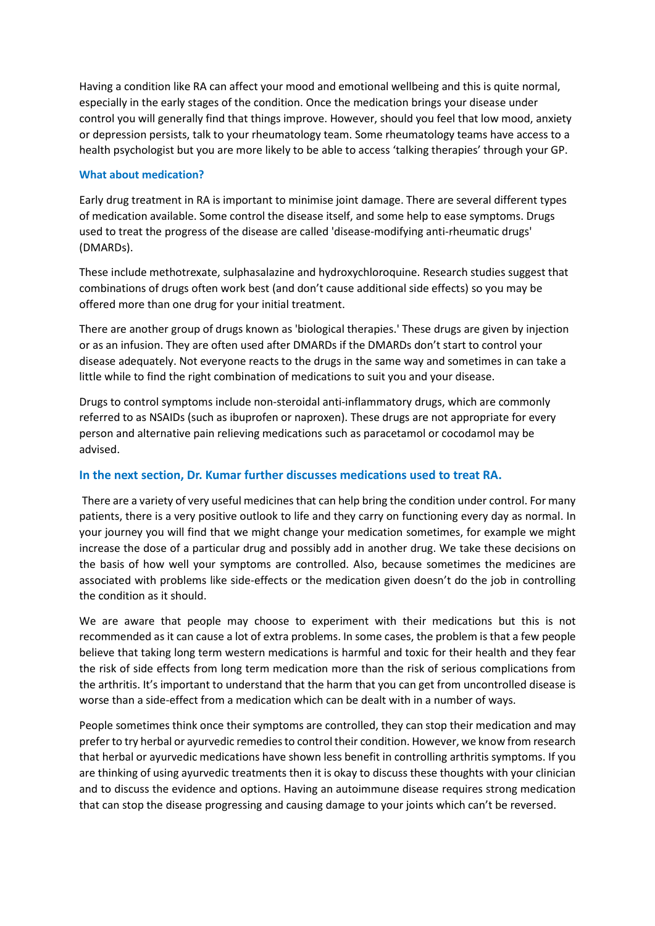Having a condition like RA can affect your mood and emotional wellbeing and this is quite normal, especially in the early stages of the condition. Once the medication brings your disease under control you will generally find that things improve. However, should you feel that low mood, anxiety or depression persists, talk to your rheumatology team. Some rheumatology teams have access to a health psychologist but you are more likely to be able to access 'talking therapies' through your GP.

### **What about medication?**

Early drug treatment in RA is important to minimise joint damage. There are several different types of medication available. Some control the disease itself, and some help to ease symptoms. Drugs used to treat the progress of the disease are called 'disease-modifying anti-rheumatic drugs' (DMARDs).

These include methotrexate, sulphasalazine and hydroxychloroquine. Research studies suggest that combinations of drugs often work best (and don't cause additional side effects) so you may be offered more than one drug for your initial treatment.

There are another group of drugs known as 'biological therapies.' These drugs are given by injection or as an infusion. They are often used after DMARDs if the DMARDs don't start to control your disease adequately. Not everyone reacts to the drugs in the same way and sometimes in can take a little while to find the right combination of medications to suit you and your disease.

Drugs to control symptoms include non-steroidal anti-inflammatory drugs, which are commonly referred to as NSAIDs (such as ibuprofen or naproxen). These drugs are not appropriate for every person and alternative pain relieving medications such as paracetamol or cocodamol may be advised.

## **In the next section, Dr. Kumar further discusses medications used to treat RA.**

There are a variety of very useful medicines that can help bring the condition under control. For many patients, there is a very positive outlook to life and they carry on functioning every day as normal. In your journey you will find that we might change your medication sometimes, for example we might increase the dose of a particular drug and possibly add in another drug. We take these decisions on the basis of how well your symptoms are controlled. Also, because sometimes the medicines are associated with problems like side-effects or the medication given doesn't do the job in controlling the condition as it should.

We are aware that people may choose to experiment with their medications but this is not recommended as it can cause a lot of extra problems. In some cases, the problem is that a few people believe that taking long term western medications is harmful and toxic for their health and they fear the risk of side effects from long term medication more than the risk of serious complications from the arthritis. It's important to understand that the harm that you can get from uncontrolled disease is worse than a side-effect from a medication which can be dealt with in a number of ways.

People sometimes think once their symptoms are controlled, they can stop their medication and may prefer to try herbal or ayurvedic remedies to control their condition. However, we know from research that herbal or ayurvedic medications have shown less benefit in controlling arthritis symptoms. If you are thinking of using ayurvedic treatments then it is okay to discuss these thoughts with your clinician and to discuss the evidence and options. Having an autoimmune disease requires strong medication that can stop the disease progressing and causing damage to your joints which can't be reversed.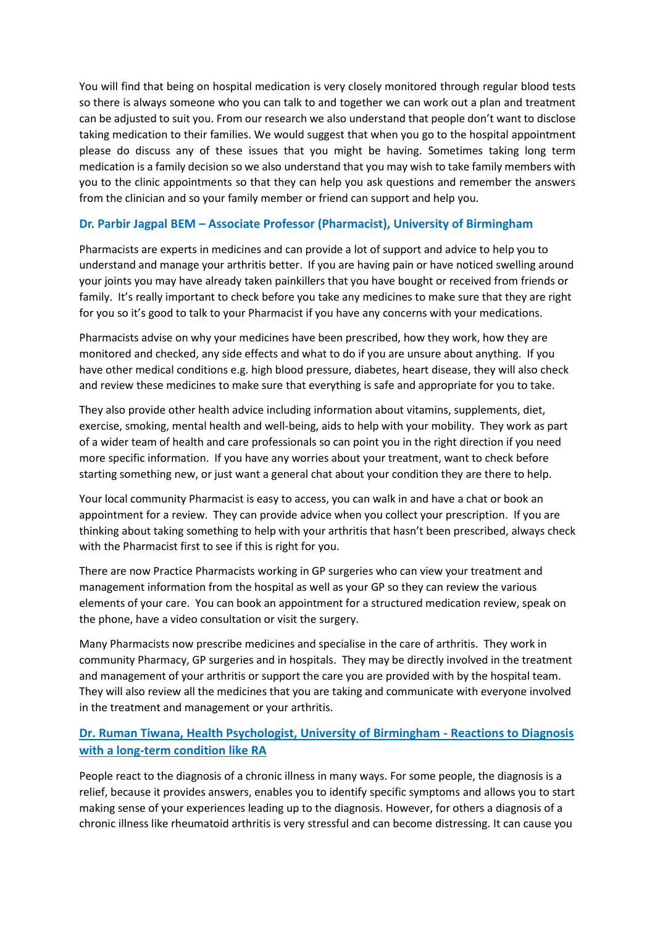You will find that being on hospital medication is very closely monitored through regular blood tests so there is always someone who you can talk to and together we can work out a plan and treatment can be adjusted to suit you. From our research we also understand that people don't want to disclose taking medication to their families. We would suggest that when you go to the hospital appointment please do discuss any of these issues that you might be having. Sometimes taking long term medication is a family decision so we also understand that you may wish to take family members with you to the clinic appointments so that they can help you ask questions and remember the answers from the clinician and so your family member or friend can support and help you.

## **Dr. Parbir Jagpal BEM – Associate Professor (Pharmacist), University of Birmingham**

Pharmacists are experts in medicines and can provide a lot of support and advice to help you to understand and manage your arthritis better. If you are having pain or have noticed swelling around your joints you may have already taken painkillers that you have bought or received from friends or family. It's really important to check before you take any medicines to make sure that they are right for you so it's good to talk to your Pharmacist if you have any concerns with your medications.

Pharmacists advise on why your medicines have been prescribed, how they work, how they are monitored and checked, any side effects and what to do if you are unsure about anything. If you have other medical conditions e.g. high blood pressure, diabetes, heart disease, they will also check and review these medicines to make sure that everything is safe and appropriate for you to take.

They also provide other health advice including information about vitamins, supplements, diet, exercise, smoking, mental health and well-being, aids to help with your mobility. They work as part of a wider team of health and care professionals so can point you in the right direction if you need more specific information. If you have any worries about your treatment, want to check before starting something new, or just want a general chat about your condition they are there to help.

Your local community Pharmacist is easy to access, you can walk in and have a chat or book an appointment for a review. They can provide advice when you collect your prescription. If you are thinking about taking something to help with your arthritis that hasn't been prescribed, always check with the Pharmacist first to see if this is right for you.

There are now Practice Pharmacists working in GP surgeries who can view your treatment and management information from the hospital as well as your GP so they can review the various elements of your care. You can book an appointment for a structured medication review, speak on the phone, have a video consultation or visit the surgery.

Many Pharmacists now prescribe medicines and specialise in the care of arthritis. They work in community Pharmacy, GP surgeries and in hospitals. They may be directly involved in the treatment and management of your arthritis or support the care you are provided with by the hospital team. They will also review all the medicines that you are taking and communicate with everyone involved in the treatment and management or your arthritis.

## **Dr. Ruman Tiwana, Health Psychologist, University of Birmingham - Reactions to Diagnosis with a long-term condition like RA**

People react to the diagnosis of a chronic illness in many ways. For some people, the diagnosis is a relief, because it provides answers, enables you to identify specific symptoms and allows you to start making sense of your experiences leading up to the diagnosis. However, for others a diagnosis of a chronic illness like rheumatoid arthritis is very stressful and can become distressing. It can cause you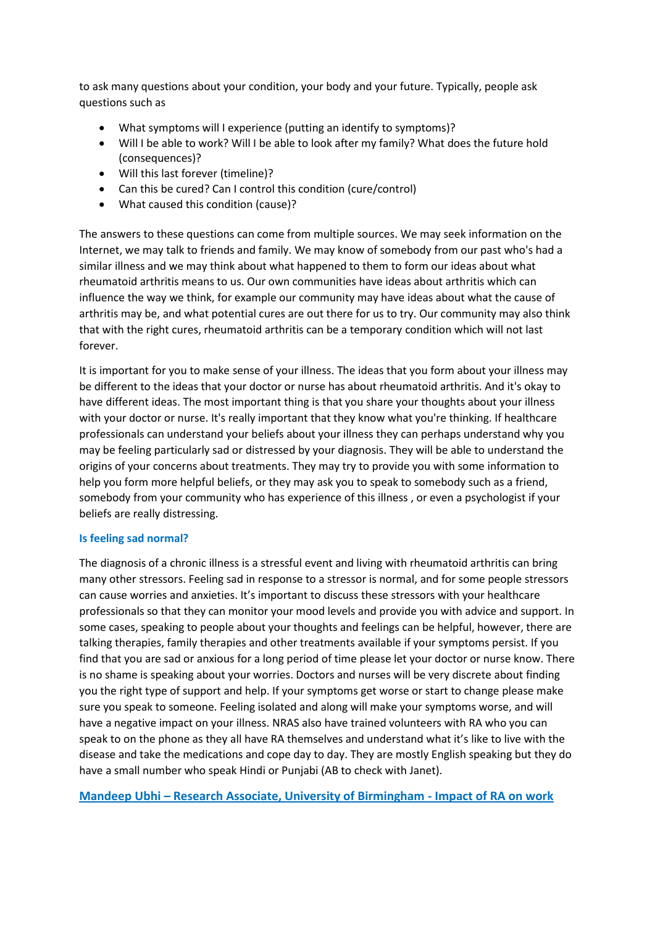to ask many questions about your condition, your body and your future. Typically, people ask questions such as

- What symptoms will I experience (putting an identify to symptoms)?
- Will I be able to work? Will I be able to look after my family? What does the future hold (consequences)?
- Will this last forever (timeline)?
- Can this be cured? Can I control this condition (cure/control)
- What caused this condition (cause)?

The answers to these questions can come from multiple sources. We may seek information on the Internet, we may talk to friends and family. We may know of somebody from our past who's had a similar illness and we may think about what happened to them to form our ideas about what rheumatoid arthritis means to us. Our own communities have ideas about arthritis which can influence the way we think, for example our community may have ideas about what the cause of arthritis may be, and what potential cures are out there for us to try. Our community may also think that with the right cures, rheumatoid arthritis can be a temporary condition which will not last forever.

It is important for you to make sense of your illness. The ideas that you form about your illness may be different to the ideas that your doctor or nurse has about rheumatoid arthritis. And it's okay to have different ideas. The most important thing is that you share your thoughts about your illness with your doctor or nurse. It's really important that they know what you're thinking. If healthcare professionals can understand your beliefs about your illness they can perhaps understand why you may be feeling particularly sad or distressed by your diagnosis. They will be able to understand the origins of your concerns about treatments. They may try to provide you with some information to help you form more helpful beliefs, or they may ask you to speak to somebody such as a friend, somebody from your community who has experience of this illness , or even a psychologist if your beliefs are really distressing.

## **Is feeling sad normal?**

The diagnosis of a chronic illness is a stressful event and living with rheumatoid arthritis can bring many other stressors. Feeling sad in response to a stressor is normal, and for some people stressors can cause worries and anxieties. It's important to discuss these stressors with your healthcare professionals so that they can monitor your mood levels and provide you with advice and support. In some cases, speaking to people about your thoughts and feelings can be helpful, however, there are talking therapies, family therapies and other treatments available if your symptoms persist. If you find that you are sad or anxious for a long period of time please let your doctor or nurse know. There is no shame is speaking about your worries. Doctors and nurses will be very discrete about finding you the right type of support and help. If your symptoms get worse or start to change please make sure you speak to someone. Feeling isolated and along will make your symptoms worse, and will have a negative impact on your illness. NRAS also have trained volunteers with RA who you can speak to on the phone as they all have RA themselves and understand what it's like to live with the disease and take the medications and cope day to day. They are mostly English speaking but they do have a small number who speak Hindi or Punjabi (AB to check with Janet).

**Mandeep Ubhi – Research Associate, University of Birmingham - Impact of RA on work**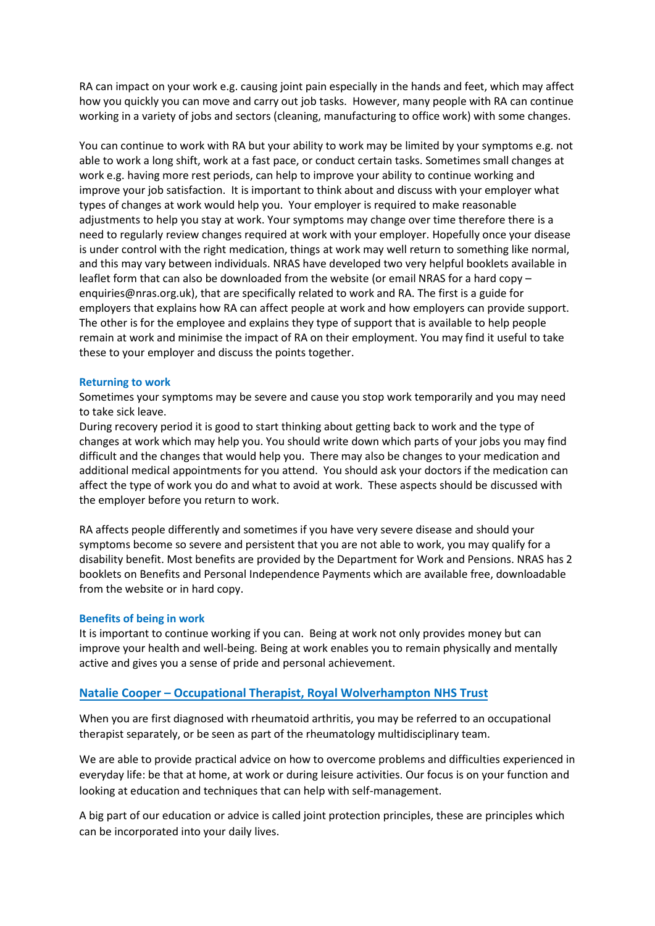RA can impact on your work e.g. causing joint pain especially in the hands and feet, which may affect how you quickly you can move and carry out job tasks. However, many people with RA can continue working in a variety of jobs and sectors (cleaning, manufacturing to office work) with some changes.

You can continue to work with RA but your ability to work may be limited by your symptoms e.g. not able to work a long shift, work at a fast pace, or conduct certain tasks. Sometimes small changes at work e.g. having more rest periods, can help to improve your ability to continue working and improve your job satisfaction. It is important to think about and discuss with your employer what types of changes at work would help you. Your employer is required to make reasonable adjustments to help you stay at work. Your symptoms may change over time therefore there is a need to regularly review changes required at work with your employer. Hopefully once your disease is under control with the right medication, things at work may well return to something like normal, and this may vary between individuals. NRAS have developed two very helpful booklets available in leaflet form that can also be downloaded from the website (or email NRAS for a hard copy – enquiries@nras.org.uk), that are specifically related to work and RA. The first is a guide for employers that explains how RA can affect people at work and how employers can provide support. The other is for the employee and explains they type of support that is available to help people remain at work and minimise the impact of RA on their employment. You may find it useful to take these to your employer and discuss the points together.

#### **Returning to work**

Sometimes your symptoms may be severe and cause you stop work temporarily and you may need to take sick leave.

During recovery period it is good to start thinking about getting back to work and the type of changes at work which may help you. You should write down which parts of your jobs you may find difficult and the changes that would help you. There may also be changes to your medication and additional medical appointments for you attend. You should ask your doctors if the medication can affect the type of work you do and what to avoid at work. These aspects should be discussed with the employer before you return to work.

RA affects people differently and sometimes if you have very severe disease and should your symptoms become so severe and persistent that you are not able to work, you may qualify for a disability benefit. Most benefits are provided by the Department for Work and Pensions. NRAS has 2 booklets on Benefits and Personal Independence Payments which are available free, downloadable from the website or in hard copy.

#### **Benefits of being in work**

It is important to continue working if you can. Being at work not only provides money but can improve your health and well-being. Being at work enables you to remain physically and mentally active and gives you a sense of pride and personal achievement.

### **Natalie Cooper – Occupational Therapist, Royal Wolverhampton NHS Trust**

When you are first diagnosed with rheumatoid arthritis, you may be referred to an occupational therapist separately, or be seen as part of the rheumatology multidisciplinary team.

We are able to provide practical advice on how to overcome problems and difficulties experienced in everyday life: be that at home, at work or during leisure activities. Our focus is on your function and looking at education and techniques that can help with self-management.

A big part of our education or advice is called joint protection principles, these are principles which can be incorporated into your daily lives.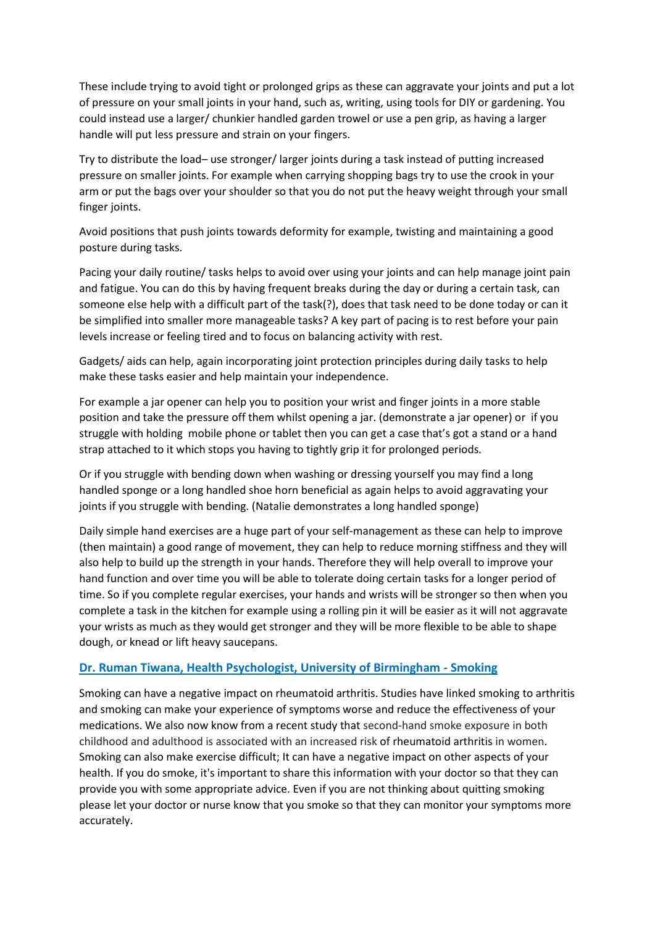These include trying to avoid tight or prolonged grips as these can aggravate your joints and put a lot of pressure on your small joints in your hand, such as, writing, using tools for DIY or gardening. You could instead use a larger/ chunkier handled garden trowel or use a pen grip, as having a larger handle will put less pressure and strain on your fingers.

Try to distribute the load– use stronger/ larger joints during a task instead of putting increased pressure on smaller joints. For example when carrying shopping bags try to use the crook in your arm or put the bags over your shoulder so that you do not put the heavy weight through your small finger joints.

Avoid positions that push joints towards deformity for example, twisting and maintaining a good posture during tasks.

Pacing your daily routine/ tasks helps to avoid over using your joints and can help manage joint pain and fatigue. You can do this by having frequent breaks during the day or during a certain task, can someone else help with a difficult part of the task(?), does that task need to be done today or can it be simplified into smaller more manageable tasks? A key part of pacing is to rest before your pain levels increase or feeling tired and to focus on balancing activity with rest.

Gadgets/ aids can help, again incorporating joint protection principles during daily tasks to help make these tasks easier and help maintain your independence.

For example a jar opener can help you to position your wrist and finger joints in a more stable position and take the pressure off them whilst opening a jar. (demonstrate a jar opener) or if you struggle with holding mobile phone or tablet then you can get a case that's got a stand or a hand strap attached to it which stops you having to tightly grip it for prolonged periods.

Or if you struggle with bending down when washing or dressing yourself you may find a long handled sponge or a long handled shoe horn beneficial as again helps to avoid aggravating your joints if you struggle with bending. (Natalie demonstrates a long handled sponge)

Daily simple hand exercises are a huge part of your self-management as these can help to improve (then maintain) a good range of movement, they can help to reduce morning stiffness and they will also help to build up the strength in your hands. Therefore they will help overall to improve your hand function and over time you will be able to tolerate doing certain tasks for a longer period of time. So if you complete regular exercises, your hands and wrists will be stronger so then when you complete a task in the kitchen for example using a rolling pin it will be easier as it will not aggravate your wrists as much as they would get stronger and they will be more flexible to be able to shape dough, or knead or lift heavy saucepans.

## **Dr. Ruman Tiwana, Health Psychologist, University of Birmingham - Smoking**

Smoking can have a negative impact on rheumatoid arthritis. Studies have linked smoking to arthritis and smoking can make your experience of symptoms worse and reduce the effectiveness of your medications. We also now know from a recent study that second-hand smoke exposure in both childhood and adulthood is associated with an increased risk of [rheumatoid arthritis](https://emedicine.medscape.com/article/331715-overview) in women. Smoking can also make exercise difficult; It can have a negative impact on other aspects of your health. If you do smoke, it's important to share this information with your doctor so that they can provide you with some appropriate advice. Even if you are not thinking about quitting smoking please let your doctor or nurse know that you smoke so that they can monitor your symptoms more accurately.